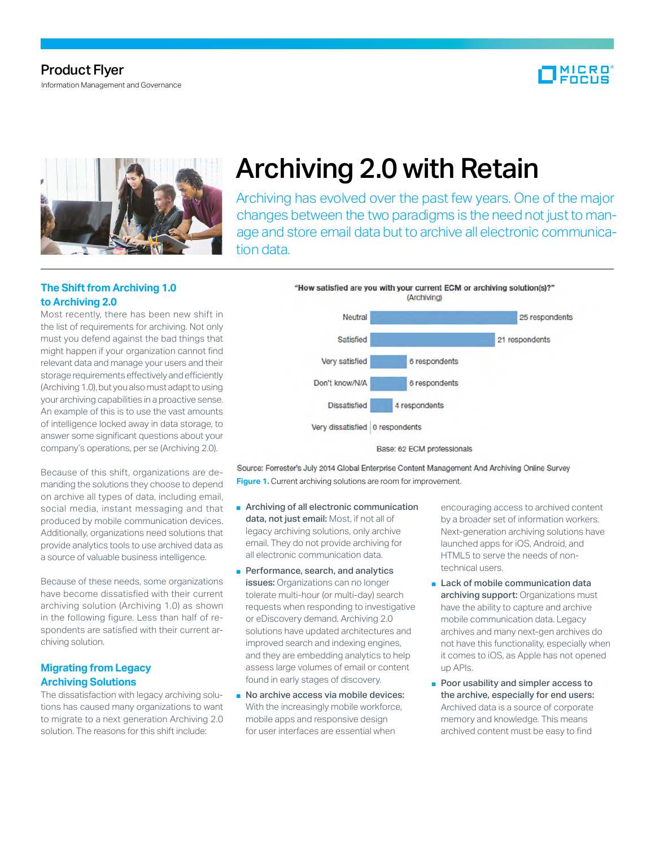# Product Flyer

Information Management and Governance





# Archiving 2.0 with Retain

Archiving has evolved over the past few years. One of the major changes between the two paradigms is the need not just to manage and store email data but to archive all electronic communication data.

## **The Shift from Archiving 1.0 to Archiving 2.0**

Most recently, there has been new shift in the list of requirements for archiving. Not only must you defend against the bad things that might happen if your organization cannot find relevant data and manage your users and their storage requirements effectively and efficiently (Archiving 1.0), but you also must adapt to using your archiving capabilities in a proactive sense. An example of this is to use the vast amounts of intelligence locked away in data storage, to answer some significant questions about your company's operations, per se (Archiving 2.0).

Because of this shift, organizations are demanding the solutions they choose to depend on archive all types of data, including email, social media, instant messaging and that produced by mobile communication devices. Additionally, organizations need solutions that provide analytics tools to use archived data as a source of valuable business intelligence.

Because of these needs, some organizations have become dissatisfied with their current archiving solution (Archiving 1.0) as shown in the following figure. Less than half of respondents are satisfied with their current archiving solution.

### **Migrating from Legacy Archiving Solutions**

The dissatisfaction with legacy archiving solutions has caused many organizations to want to migrate to a next generation Archiving 2.0 solution. The reasons for this shift include:



Source: Forrester's July 2014 Global Enterprise Content Management And Archiving Online Survey **Figure 1.** Current archiving solutions are room for improvement.

- Archiving of all electronic communication data, not just email: Most, if not all of legacy archiving solutions, only archive email. They do not provide archiving for all electronic communication data.
- Performance, search, and analytics issues: Organizations can no longer tolerate multi-hour (or multi-day) search requests when responding to investigative or eDiscovery demand. Archiving 2.0 solutions have updated architectures and improved search and indexing engines, and they are embedding analytics to help assess large volumes of email or content found in early stages of discovery.
- No archive access via mobile devices: With the increasingly mobile workforce, mobile apps and responsive design for user interfaces are essential when

encouraging access to archived content by a broader set of information workers. Next-generation archiving solutions have launched apps for iOS, Android, and HTML5 to serve the needs of nontechnical users.

- Lack of mobile communication data archiving support: Organizations must have the ability to capture and archive mobile communication data. Legacy archives and many next-gen archives do not have this functionality, especially when it comes to iOS, as Apple has not opened up APIs.
- Poor usability and simpler access to the archive, especially for end users: Archived data is a source of corporate memory and knowledge. This means archived content must be easy to find